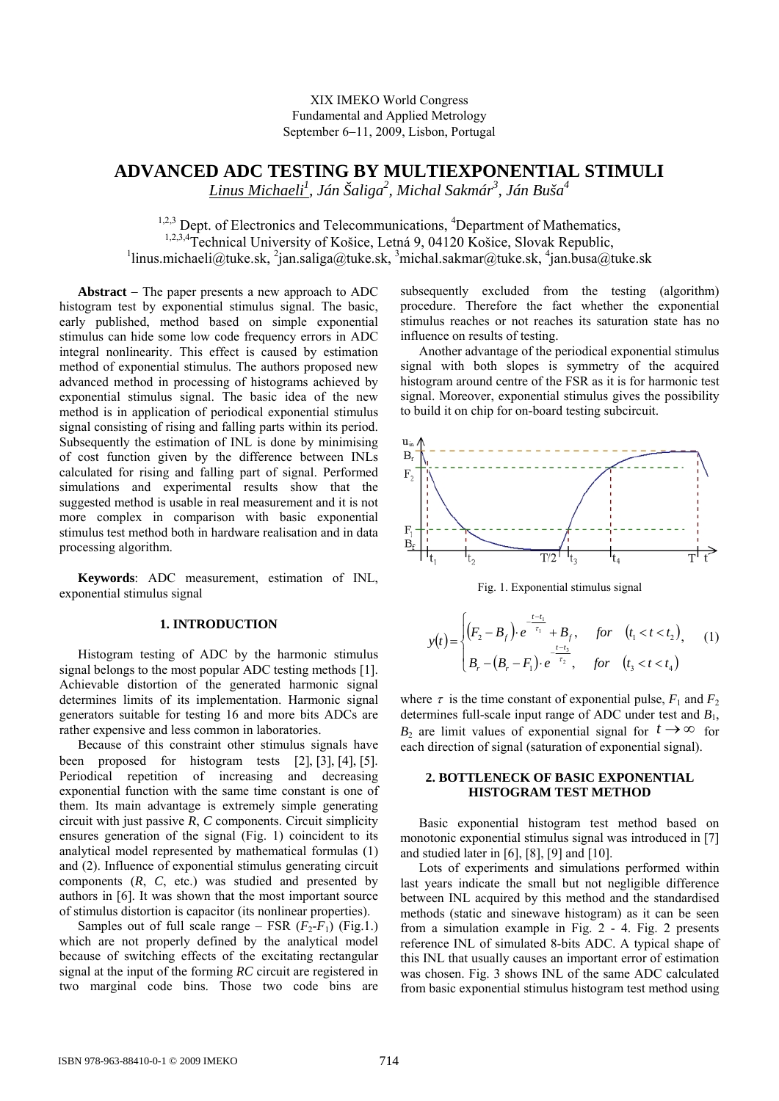# XIX IMEKO World Congress Fundamental and Applied Metrology September 6−11, 2009, Lisbon, Portugal

# **ADVANCED ADC TESTING BY MULTIEXPONENTIAL STIMULI**

*Linus Michaeli1 , Ján Šaliga2 , Michal Sakmár<sup>3</sup> , Ján Buša4* 

 $1,2,3$  Dept. of Electronics and Telecommunications,  $4$ Department of Mathematics, <sup>1,2,3,4</sup>Technical University of Košice, Letná 9, 04120 Košice, Slovak Republic, <sup>1</sup>linus.michaeli@tuke.sk, <sup>2</sup>jan.saliga@tuke.sk, <sup>3</sup>michal.sakmar@tuke.sk, <sup>4</sup>jan.busa@tuke.sk

**Abstract** − The paper presents a new approach to ADC histogram test by exponential stimulus signal. The basic, early published, method based on simple exponential stimulus can hide some low code frequency errors in ADC integral nonlinearity. This effect is caused by estimation method of exponential stimulus. The authors proposed new advanced method in processing of histograms achieved by exponential stimulus signal. The basic idea of the new method is in application of periodical exponential stimulus signal consisting of rising and falling parts within its period. Subsequently the estimation of INL is done by minimising of cost function given by the difference between INLs calculated for rising and falling part of signal. Performed simulations and experimental results show that the suggested method is usable in real measurement and it is not more complex in comparison with basic exponential stimulus test method both in hardware realisation and in data processing algorithm.

**Keywords**: ADC measurement, estimation of INL, exponential stimulus signal

# **1. INTRODUCTION**

Histogram testing of ADC by the harmonic stimulus signal belongs to the most popular ADC testing methods [1]. Achievable distortion of the generated harmonic signal determines limits of its implementation. Harmonic signal generators suitable for testing 16 and more bits ADCs are rather expensive and less common in laboratories.

Because of this constraint other stimulus signals have been proposed for histogram tests [2], [3], [4], [5]. Periodical repetition of increasing and decreasing exponential function with the same time constant is one of them. Its main advantage is extremely simple generating circuit with just passive *R*, *C* components. Circuit simplicity ensures generation of the signal (Fig. 1) coincident to its analytical model represented by mathematical formulas (1) and (2). Influence of exponential stimulus generating circuit components (*R*, *C*, etc.) was studied and presented by authors in [6]. It was shown that the most important source of stimulus distortion is capacitor (its nonlinear properties).

Samples out of full scale range – FSR  $(F_2-F_1)$  (Fig.1.) which are not properly defined by the analytical model because of switching effects of the excitating rectangular signal at the input of the forming *RC* circuit are registered in two marginal code bins. Those two code bins are subsequently excluded from the testing (algorithm) procedure. Therefore the fact whether the exponential stimulus reaches or not reaches its saturation state has no influence on results of testing.

Another advantage of the periodical exponential stimulus signal with both slopes is symmetry of the acquired histogram around centre of the FSR as it is for harmonic test signal. Moreover, exponential stimulus gives the possibility to build it on chip for on-board testing subcircuit.



Fig. 1. Exponential stimulus signal

$$
y(t) = \begin{cases} (F_2 - B_f) \cdot e^{-\frac{t - t_1}{\tau_1}} + B_f, & \text{for } (t_1 < t < t_2), \\ B_r - (B_r - F_1) \cdot e^{-\frac{t - t_3}{\tau_2}}, & \text{for } (t_3 < t < t_4) \end{cases}
$$
 (1)

where  $\tau$  is the time constant of exponential pulse,  $F_1$  and  $F_2$ determines full-scale input range of ADC under test and *B*1, *B*<sub>2</sub> are limit values of exponential signal for  $t \to \infty$  for each direction of signal (saturation of exponential signal).

## **2. BOTTLENECK OF BASIC EXPONENTIAL HISTOGRAM TEST METHOD**

Basic exponential histogram test method based on monotonic exponential stimulus signal was introduced in [7] and studied later in [6], [8], [9] and [10].

Lots of experiments and simulations performed within last years indicate the small but not negligible difference between INL acquired by this method and the standardised methods (static and sinewave histogram) as it can be seen from a simulation example in Fig. 2 - 4. Fig. 2 presents reference INL of simulated 8-bits ADC. A typical shape of this INL that usually causes an important error of estimation was chosen. Fig. 3 shows INL of the same ADC calculated from basic exponential stimulus histogram test method using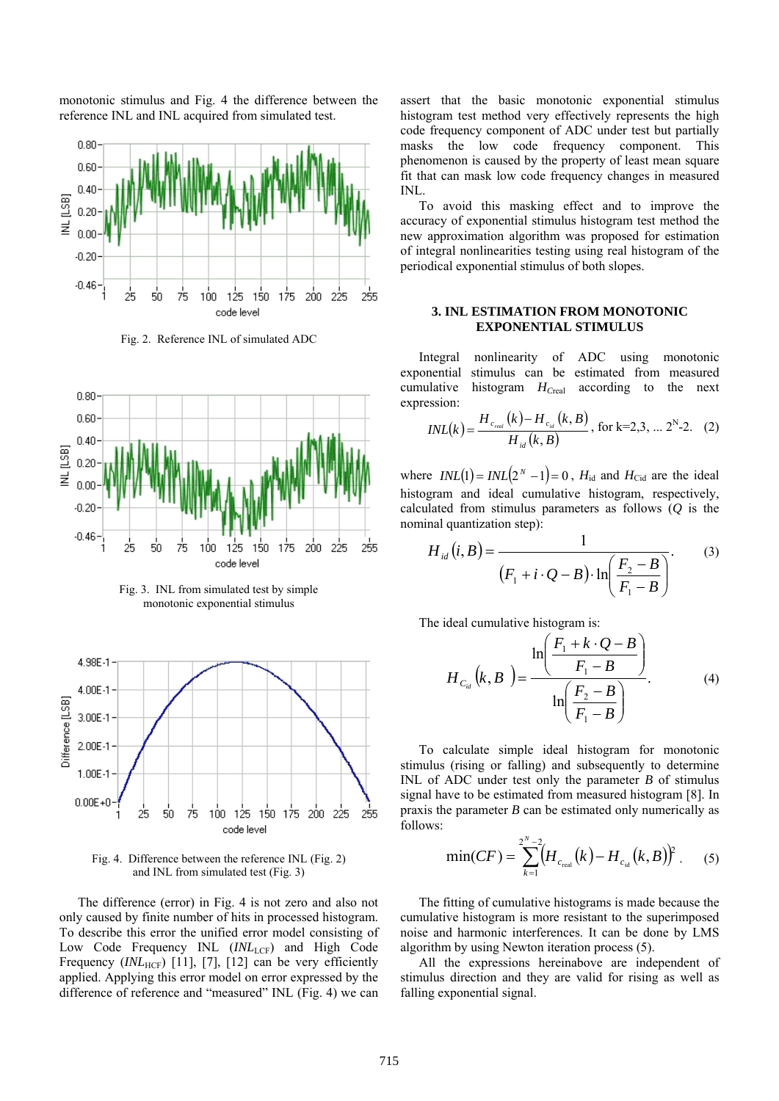monotonic stimulus and Fig. 4 the difference between the reference INL and INL acquired from simulated test.



Fig. 2. Reference INL of simulated ADC



Fig. 3. INL from simulated test by simple monotonic exponential stimulus



Fig. 4. Difference between the reference INL (Fig. 2) and INL from simulated test (Fig. 3)

The difference (error) in Fig. 4 is not zero and also not only caused by finite number of hits in processed histogram. To describe this error the unified error model consisting of Low Code Frequency INL (INL<sub>LCF</sub>) and High Code Frequency (*INL*<sub>HCF</sub>) [11], [7], [12] can be very efficiently applied. Applying this error model on error expressed by the difference of reference and "measured" INL (Fig. 4) we can

assert that the basic monotonic exponential stimulus histogram test method very effectively represents the high code frequency component of ADC under test but partially masks the low code frequency component. This phenomenon is caused by the property of least mean square fit that can mask low code frequency changes in measured INL.

To avoid this masking effect and to improve the accuracy of exponential stimulus histogram test method the new approximation algorithm was proposed for estimation of integral nonlinearities testing using real histogram of the periodical exponential stimulus of both slopes.

## **3. INL ESTIMATION FROM MONOTONIC EXPONENTIAL STIMULUS**

Integral nonlinearity of ADC using monotonic exponential stimulus can be estimated from measured cumulative histogram  $H_{Creal}$  according to the next expression:

$$
INL(k) = \frac{H_{c_{real}}(k) - H_{c_{id}}(k, B)}{H_{id}(k, B)}, \text{ for k=2,3, ... } 2^N - 2. \quad (2)
$$

where  $INL(1) = INL(2^N - 1) = 0$ ,  $H_{id}$  and  $H_{Cid}$  are the ideal histogram and ideal cumulative histogram, respectively, calculated from stimulus parameters as follows (*Q* is the nominal quantization step):

$$
H_{id}(i, B) = \frac{1}{(F_1 + i \cdot Q - B) \cdot \ln\left(\frac{F_2 - B}{F_1 - B}\right)}.
$$
 (3)

The ideal cumulative histogram is:

$$
H_{C_{id}}(k, B) = \frac{\ln\left(\frac{F_1 + k \cdot Q - B}{F_1 - B}\right)}{\ln\left(\frac{F_2 - B}{F_1 - B}\right)}.
$$
 (4)

To calculate simple ideal histogram for monotonic stimulus (rising or falling) and subsequently to determine INL of ADC under test only the parameter *B* of stimulus signal have to be estimated from measured histogram [8]. In praxis the parameter *B* can be estimated only numerically as follows:

$$
\min(CF) = \sum_{k=1}^{2^N-2} \left( H_{c_{\text{real}}}(k) - H_{c_{\text{id}}}(k, B) \right)^2. \tag{5}
$$

The fitting of cumulative histograms is made because the cumulative histogram is more resistant to the superimposed noise and harmonic interferences. It can be done by LMS algorithm by using Newton iteration process (5).

All the expressions hereinabove are independent of stimulus direction and they are valid for rising as well as falling exponential signal.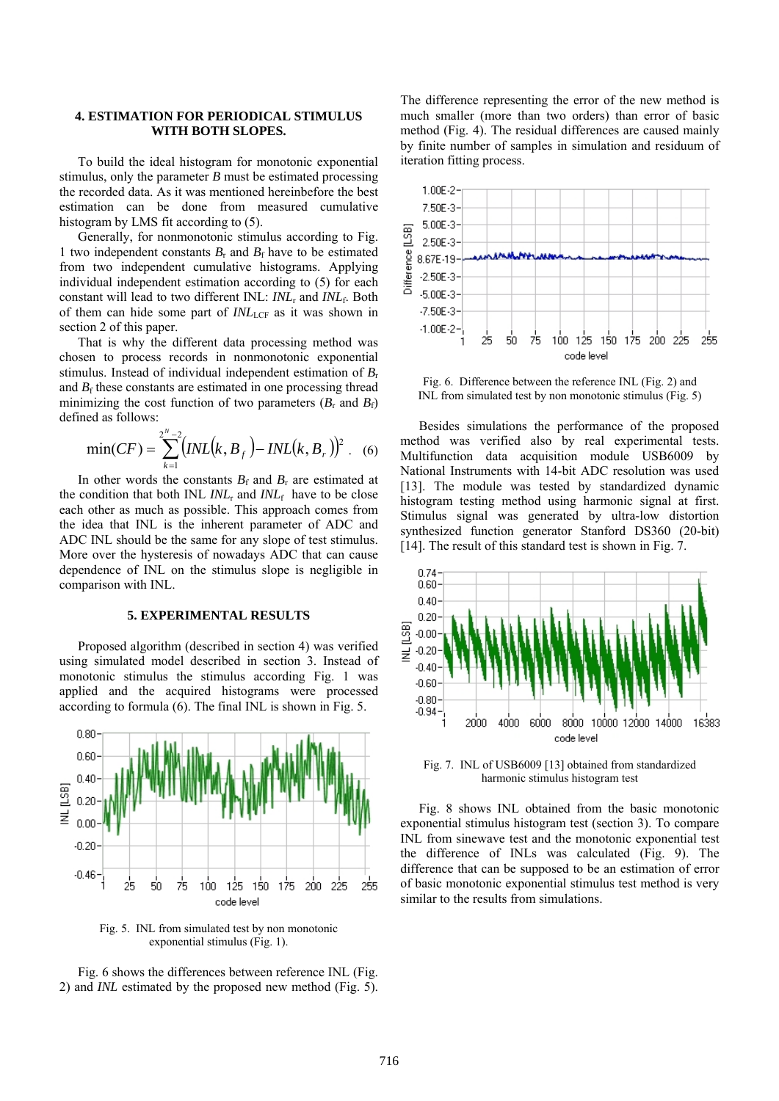## **4. ESTIMATION FOR PERIODICAL STIMULUS WITH BOTH SLOPES.**

To build the ideal histogram for monotonic exponential stimulus, only the parameter *B* must be estimated processing the recorded data. As it was mentioned hereinbefore the best estimation can be done from measured cumulative histogram by LMS fit according to (5).

Generally, for nonmonotonic stimulus according to Fig. 1 two independent constants  $B_r$  and  $B_f$  have to be estimated from two independent cumulative histograms. Applying individual independent estimation according to (5) for each constant will lead to two different INL: *INL*r and *INL*f. Both of them can hide some part of  $INL<sub>LCF</sub>$  as it was shown in section 2 of this paper.

That is why the different data processing method was chosen to process records in nonmonotonic exponential stimulus. Instead of individual independent estimation of *B*<sup>r</sup> and  $B_f$  these constants are estimated in one processing thread minimizing the cost function of two parameters  $(B_r$  and  $B_f$ ) defined as follows:

$$
\min(CF) = \sum_{k=1}^{2^{N}-2} \big( INL(k, B_f) - INL(k, B_r) \big)^{2}
$$
 (6)

In other words the constants  $B_f$  and  $B_r$  are estimated at the condition that both INL *INL*r and *INL*f have to be close each other as much as possible. This approach comes from the idea that INL is the inherent parameter of ADC and ADC INL should be the same for any slope of test stimulus. More over the hysteresis of nowadays ADC that can cause dependence of INL on the stimulus slope is negligible in comparison with INL.

#### **5. EXPERIMENTAL RESULTS**

Proposed algorithm (described in section 4) was verified using simulated model described in section 3. Instead of monotonic stimulus the stimulus according Fig. 1 was applied and the acquired histograms were processed according to formula (6). The final INL is shown in Fig. 5.



Fig. 5. INL from simulated test by non monotonic exponential stimulus (Fig. 1).

Fig. 6 shows the differences between reference INL (Fig. 2) and *INL* estimated by the proposed new method (Fig. 5). The difference representing the error of the new method is much smaller (more than two orders) than error of basic method (Fig. 4). The residual differences are caused mainly by finite number of samples in simulation and residuum of iteration fitting process.



Fig. 6. Difference between the reference INL (Fig. 2) and INL from simulated test by non monotonic stimulus (Fig. 5)

Besides simulations the performance of the proposed method was verified also by real experimental tests. Multifunction data acquisition module USB6009 by National Instruments with 14-bit ADC resolution was used [13]. The module was tested by standardized dynamic histogram testing method using harmonic signal at first. Stimulus signal was generated by ultra-low distortion synthesized function generator Stanford DS360 (20-bit) [14]. The result of this standard test is shown in Fig. 7.



Fig. 7. INL of USB6009 [13] obtained from standardized harmonic stimulus histogram test

Fig. 8 shows INL obtained from the basic monotonic exponential stimulus histogram test (section 3). To compare INL from sinewave test and the monotonic exponential test the difference of INLs was calculated (Fig. 9). The difference that can be supposed to be an estimation of error of basic monotonic exponential stimulus test method is very similar to the results from simulations.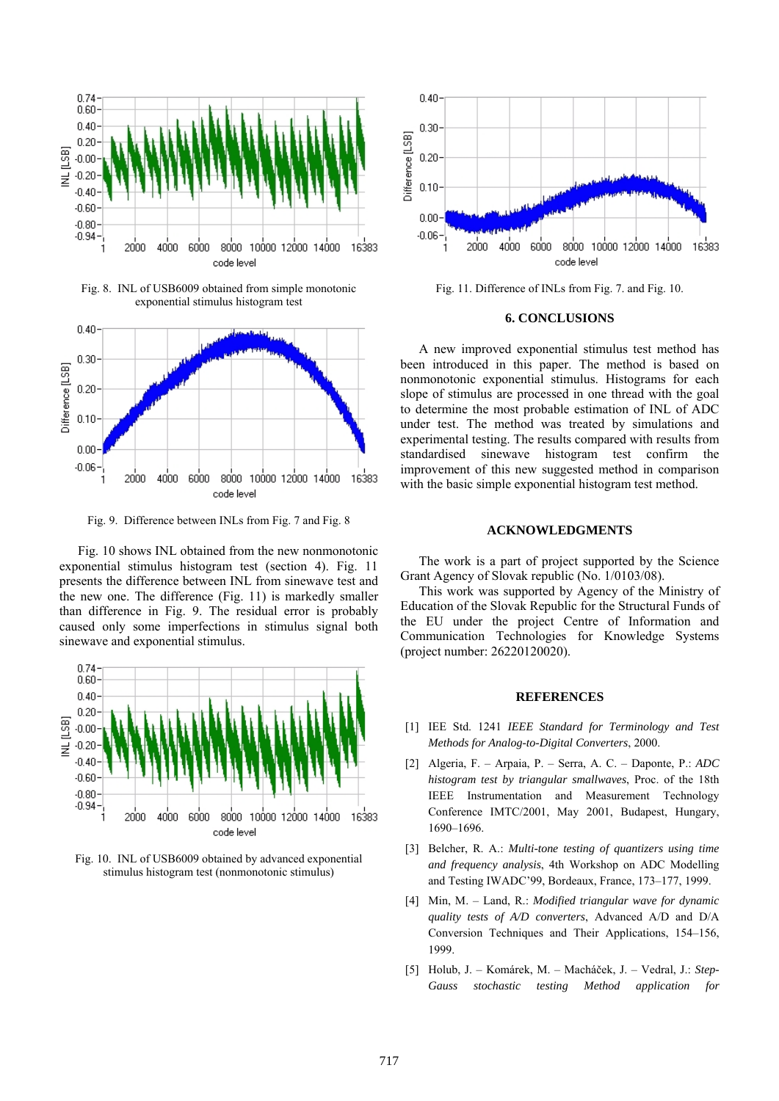

Fig. 8. INL of USB6009 obtained from simple monotonic exponential stimulus histogram test



Fig. 9. Difference between INLs from Fig. 7 and Fig. 8

Fig. 10 shows INL obtained from the new nonmonotonic exponential stimulus histogram test (section 4). Fig. 11 presents the difference between INL from sinewave test and the new one. The difference (Fig. 11) is markedly smaller than difference in Fig. 9. The residual error is probably caused only some imperfections in stimulus signal both sinewave and exponential stimulus.



Fig. 10. INL of USB6009 obtained by advanced exponential stimulus histogram test (nonmonotonic stimulus)



Fig. 11. Difference of INLs from Fig. 7. and Fig. 10.

#### **6. CONCLUSIONS**

A new improved exponential stimulus test method has been introduced in this paper. The method is based on nonmonotonic exponential stimulus. Histograms for each slope of stimulus are processed in one thread with the goal to determine the most probable estimation of INL of ADC under test. The method was treated by simulations and experimental testing. The results compared with results from standardised sinewave histogram test confirm the improvement of this new suggested method in comparison with the basic simple exponential histogram test method.

# **ACKNOWLEDGMENTS**

The work is a part of project supported by the Science Grant Agency of Slovak republic (No. 1/0103/08).

This work was supported by Agency of the Ministry of Education of the Slovak Republic for the Structural Funds of the EU under the project Centre of Information and Communication Technologies for Knowledge Systems (project number: 26220120020).

#### **REFERENCES**

- [1] IEE Std. 1241 *IEEE Standard for Terminology and Test Methods for Analog-to-Digital Converters*, 2000.
- [2] Algeria, F. Arpaia, P. Serra, A. C. Daponte, P.: *ADC histogram test by triangular smallwaves*, Proc. of the 18th IEEE Instrumentation and Measurement Technology Conference IMTC/2001, May 2001, Budapest, Hungary, 1690–1696.
- [3] Belcher, R. A.: *Multi-tone testing of quantizers using time and frequency analysis*, 4th Workshop on ADC Modelling and Testing IWADC'99, Bordeaux, France, 173–177, 1999.
- [4] Min, M. Land, R.: *Modified triangular wave for dynamic quality tests of A/D converters*, Advanced A/D and D/A Conversion Techniques and Their Applications, 154–156, 1999.
- [5] Holub, J. Komárek, M. Macháček, J. Vedral, J.: *Step-Gauss stochastic testing Method application for*